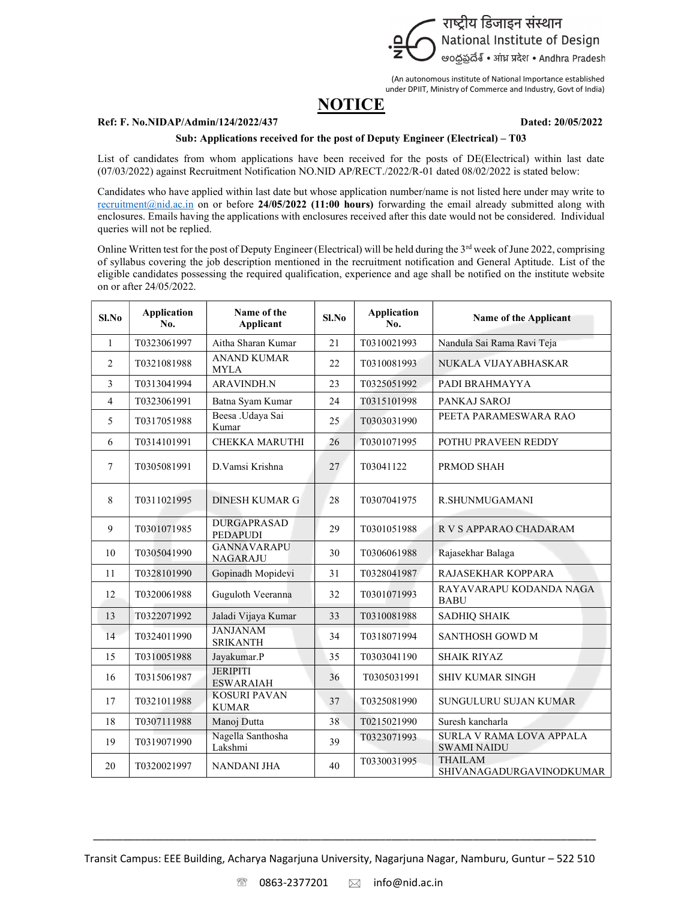

(An autonomous institute of National Importance established under DPIIT, Ministry of Commerce and Industry, Govt of India)

## **NOTICE**

## Ref: F. No.NIDAP/Admin/124/2022/437 Dated: 20/05/2022

## Sub: Applications received for the post of Deputy Engineer (Electrical) – T03

List of candidates from whom applications have been received for the posts of DE(Electrical) within last date (07/03/2022) against Recruitment Notification NO.NID AP/RECT./2022/R-01 dated 08/02/2022 is stated below:

Candidates who have applied within last date but whose application number/name is not listed here under may write to recruitment@nid.ac.in on or before 24/05/2022 (11:00 hours) forwarding the email already submitted along with enclosures. Emails having the applications with enclosures received after this date would not be considered. Individual queries will not be replied.

Online Written test for the post of Deputy Engineer (Electrical) will be held during the 3<sup>rd</sup> week of June 2022, comprising of syllabus covering the job description mentioned in the recruitment notification and General Aptitude. List of the eligible candidates possessing the required qualification, experience and age shall be notified on the institute website on or after 24/05/2022.

| $SL$ No         | <b>Application</b><br>No. | Name of the<br>Applicant              | $SL$ No | <b>Application</b><br>No. | Name of the Applicant                                 |
|-----------------|---------------------------|---------------------------------------|---------|---------------------------|-------------------------------------------------------|
| $\mathbf{1}$    | T0323061997               | Aitha Sharan Kumar                    | 21      | T0310021993               | Nandula Sai Rama Ravi Teja                            |
| 2               | T0321081988               | <b>ANAND KUMAR</b><br><b>MYLA</b>     | 22      | T0310081993               | NUKALA VIJAYABHASKAR                                  |
| 3               | T0313041994               | <b>ARAVINDH.N</b>                     | 23      | T0325051992               | PADI BRAHMAYYA                                        |
| $\overline{4}$  | T0323061991               | Batna Syam Kumar                      | 24      | T0315101998               | PANKAJ SAROJ                                          |
| 5               | T0317051988               | Beesa .Udaya Sai<br>Kumar             | 25      | T0303031990               | PEETA PARAMESWARA RAO                                 |
| 6               | T0314101991               | <b>CHEKKA MARUTHI</b>                 | 26      | T0301071995               | POTHU PRAVEEN REDDY                                   |
| $7\phantom{.0}$ | T0305081991               | D. Vamsi Krishna                      | 27      | T03041122                 | PRMOD SHAH                                            |
| 8               | T0311021995               | <b>DINESH KUMAR G</b>                 | 28      | T0307041975               | R.SHUNMUGAMANI                                        |
| 9               | T0301071985               | <b>DURGAPRASAD</b><br><b>PEDAPUDI</b> | 29      | T0301051988               | R V S APPARAO CHADARAM                                |
| 10              | T0305041990               | <b>GANNAVARAPU</b><br><b>NAGARAJU</b> | 30      | T0306061988               | Rajasekhar Balaga                                     |
| 11              | T0328101990               | Gopinadh Mopidevi                     | 31      | T0328041987               | RAJASEKHAR KOPPARA                                    |
| 12              | T0320061988               | Guguloth Veeranna                     | 32      | T0301071993               | RAYAVARAPU KODANDA NAGA<br><b>BABU</b>                |
| 13              | T0322071992               | Jaladi Vijaya Kumar                   | 33      | T0310081988               | <b>SADHIQ SHAIK</b>                                   |
| 14              | T0324011990               | <b>JANJANAM</b><br><b>SRIKANTH</b>    | 34      | T0318071994               | <b>SANTHOSH GOWD M</b>                                |
| 15              | T0310051988               | Jayakumar.P                           | 35      | T0303041190               | <b>SHAIK RIYAZ</b>                                    |
| 16              | T0315061987               | <b>JERIPITI</b><br><b>ESWARAIAH</b>   | 36      | T0305031991               | <b>SHIV KUMAR SINGH</b>                               |
| 17              | T0321011988               | <b>KOSURI PAVAN</b><br><b>KUMAR</b>   | 37      | T0325081990               | SUNGULURU SUJAN KUMAR                                 |
| 18              | T0307111988               | Manoj Dutta                           | 38      | T0215021990               | Suresh kancharla                                      |
| 19              | T0319071990               | Nagella Santhosha<br>Lakshmi          | 39      | T0323071993               | <b>SURLA V RAMA LOVA APPALA</b><br><b>SWAMI NAIDU</b> |
| 20              | T0320021997               | NANDANI JHA                           | 40      | T0330031995               | <b>THAILAM</b><br>SHIVANAGADURGAVINODKUMAR            |

Transit Campus: EEE Building, Acharya Nagarjuna University, Nagarjuna Nagar, Namburu, Guntur – 522 510

 $\frac{1}{2}$  ,  $\frac{1}{2}$  ,  $\frac{1}{2}$  ,  $\frac{1}{2}$  ,  $\frac{1}{2}$  ,  $\frac{1}{2}$  ,  $\frac{1}{2}$  ,  $\frac{1}{2}$  ,  $\frac{1}{2}$  ,  $\frac{1}{2}$  ,  $\frac{1}{2}$  ,  $\frac{1}{2}$  ,  $\frac{1}{2}$  ,  $\frac{1}{2}$  ,  $\frac{1}{2}$  ,  $\frac{1}{2}$  ,  $\frac{1}{2}$  ,  $\frac{1}{2}$  ,  $\frac{1$